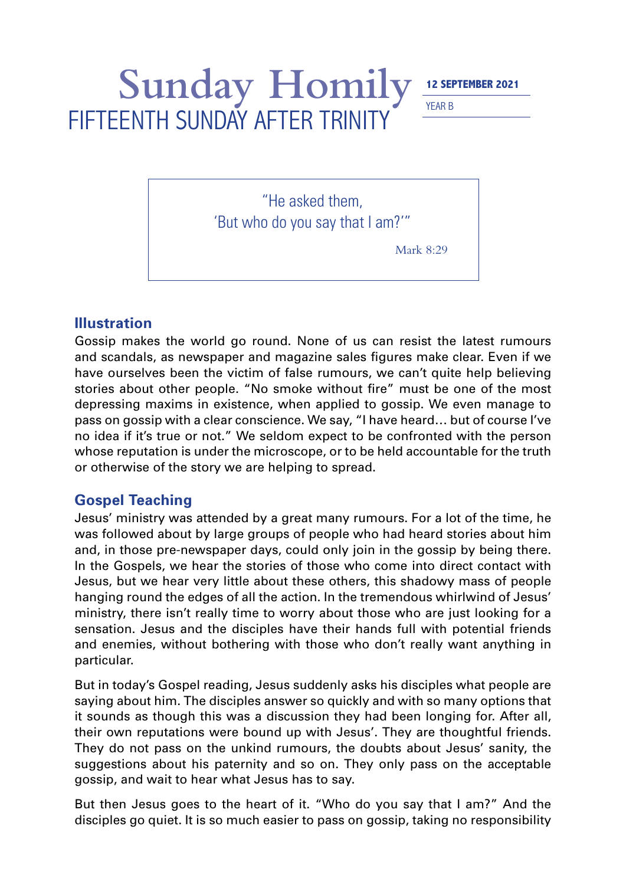## Sunday Homily 12 SEPTEMBER 2021 FIFTEENTH SUNDAY AFTER TRINITY

YEAR B

"He asked them, 'But who do you say that I am?'"

Mark 8:29

## **Illustration**

Gossip makes the world go round. None of us can resist the latest rumours and scandals, as newspaper and magazine sales figures make clear. Even if we have ourselves been the victim of false rumours, we can't quite help believing stories about other people. "No smoke without fire" must be one of the most depressing maxims in existence, when applied to gossip. We even manage to pass on gossip with a clear conscience. We say, "I have heard… but of course I've no idea if it's true or not." We seldom expect to be confronted with the person whose reputation is under the microscope, or to be held accountable for the truth or otherwise of the story we are helping to spread.

## **Gospel Teaching**

Jesus' ministry was attended by a great many rumours. For a lot of the time, he was followed about by large groups of people who had heard stories about him and, in those pre-newspaper days, could only join in the gossip by being there. In the Gospels, we hear the stories of those who come into direct contact with Jesus, but we hear very little about these others, this shadowy mass of people hanging round the edges of all the action. In the tremendous whirlwind of Jesus' ministry, there isn't really time to worry about those who are just looking for a sensation. Jesus and the disciples have their hands full with potential friends and enemies, without bothering with those who don't really want anything in particular.

But in today's Gospel reading, Jesus suddenly asks his disciples what people are saying about him. The disciples answer so quickly and with so many options that it sounds as though this was a discussion they had been longing for. After all, their own reputations were bound up with Jesus'. They are thoughtful friends. They do not pass on the unkind rumours, the doubts about Jesus' sanity, the suggestions about his paternity and so on. They only pass on the acceptable gossip, and wait to hear what Jesus has to say.

But then Jesus goes to the heart of it. "Who do you say that I am?" And the disciples go quiet. It is so much easier to pass on gossip, taking no responsibility